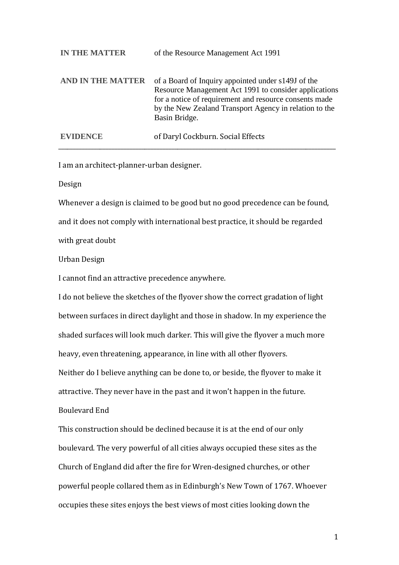| <b>IN THE MATTER</b> | of the Resource Management Act 1991                                                                                                                                                                                                              |
|----------------------|--------------------------------------------------------------------------------------------------------------------------------------------------------------------------------------------------------------------------------------------------|
| AND IN THE MATTER    | of a Board of Inquiry appointed under s149J of the<br>Resource Management Act 1991 to consider applications<br>for a notice of requirement and resource consents made<br>by the New Zealand Transport Agency in relation to the<br>Basin Bridge. |
| <b>EVIDENCE</b>      | of Daryl Cockburn. Social Effects                                                                                                                                                                                                                |

\_\_\_\_\_\_\_\_\_\_\_\_\_\_\_\_\_\_\_\_\_\_\_\_\_\_\_\_\_\_\_\_\_\_\_\_\_\_\_\_\_\_\_\_\_\_\_\_\_\_\_\_\_\_\_\_\_\_\_\_\_\_\_\_\_\_\_\_\_\_\_\_\_\_\_\_\_\_\_\_\_\_\_\_\_\_\_\_\_\_\_\_\_

I am an architect-planner-urban designer.

Design

Whenever a design is claimed to be good but no good precedence can be found, and it does not comply with international best practice, it should be regarded with great doubt

Urban Design

I cannot find an attractive precedence anywhere.

I do not believe the sketches of the flyover show the correct gradation of light between surfaces in direct daylight and those in shadow. In my experience the shaded surfaces will look much darker. This will give the flyover a much more heavy, even threatening, appearance, in line with all other flyovers.

Neither do I believe anything can be done to, or beside, the flyover to make it attractive. They never have in the past and it won't happen in the future.

Boulevard End

This construction should be declined because it is at the end of our only boulevard. The very powerful of all cities always occupied these sites as the Church of England did after the fire for Wren-designed churches, or other powerful people collared them as in Edinburgh's New Town of 1767. Whoever occupies these sites enjoys the best views of most cities looking down the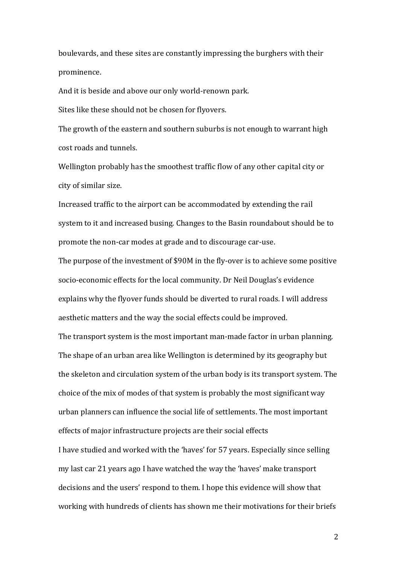boulevards, and these sites are constantly impressing the burghers with their prominence.

And it is beside and above our only world-renown park.

Sites like these should not be chosen for flyovers.

The growth of the eastern and southern suburbs is not enough to warrant high cost roads and tunnels.

Wellington probably has the smoothest traffic flow of any other capital city or city of similar size.

Increased traffic to the airport can be accommodated by extending the rail system to it and increased busing. Changes to the Basin roundabout should be to promote the non-car modes at grade and to discourage car-use.

The purpose of the investment of \$90M in the fly-over is to achieve some positive socio-economic effects for the local community. Dr Neil Douglas's evidence explains why the flyover funds should be diverted to rural roads. I will address aesthetic matters and the way the social effects could be improved. The transport system is the most important man-made factor in urban planning. The shape of an urban area like Wellington is determined by its geography but the skeleton and circulation system of the urban body is its transport system. The choice of the mix of modes of that system is probably the most significant way urban planners can influence the social life of settlements. The most important effects of major infrastructure projects are their social effects I have studied and worked with the 'haves' for 57 years. Especially since selling my last car 21 years ago I have watched the way the 'haves' make transport decisions and the users' respond to them. I hope this evidence will show that working with hundreds of clients has shown me their motivations for their briefs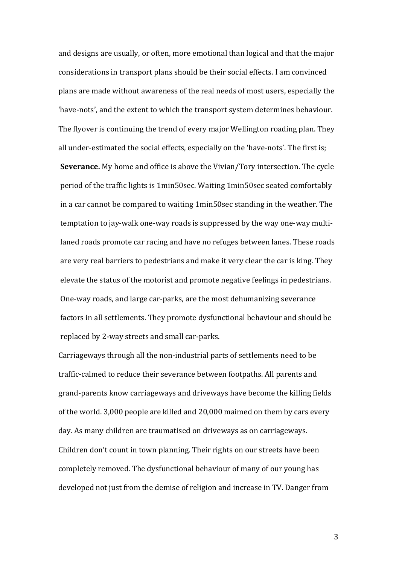and designs are usually, or often, more emotional than logical and that the major considerations in transport plans should be their social effects. I am convinced plans are made without awareness of the real needs of most users, especially the 'have-nots', and the extent to which the transport system determines behaviour. The flyover is continuing the trend of every major Wellington roading plan. They all under-estimated the social effects, especially on the 'have-nots'. The first is; **Severance.** My home and office is above the Vivian/Tory intersection. The cycle period of the traffic lights is 1min50sec. Waiting 1min50sec seated comfortably in a car cannot be compared to waiting 1min50sec standing in the weather. The temptation to jay-walk one-way roads is suppressed by the way one-way multilaned roads promote car racing and have no refuges between lanes. These roads are very real barriers to pedestrians and make it very clear the car is king. They elevate the status of the motorist and promote negative feelings in pedestrians. One-way roads, and large car-parks, are the most dehumanizing severance factors in all settlements. They promote dysfunctional behaviour and should be replaced by 2-way streets and small car-parks.

Carriageways through all the non-industrial parts of settlements need to be traffic-calmed to reduce their severance between footpaths. All parents and grand-parents know carriageways and driveways have become the killing fields of the world. 3,000 people are killed and 20,000 maimed on them by cars every day. As many children are traumatised on driveways as on carriageways. Children don't count in town planning. Their rights on our streets have been completely removed. The dysfunctional behaviour of many of our young has developed not just from the demise of religion and increase in TV. Danger from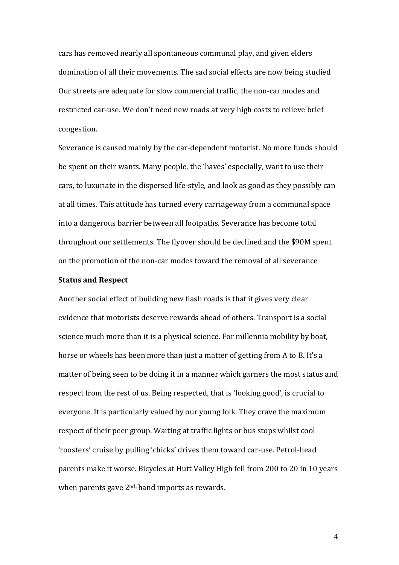cars has removed nearly all spontaneous communal play, and given elders domination of all their movements. The sad social effects are now being studied Our streets are adequate for slow commercial traffic, the non-car modes and restricted car-use. We don't need new roads at very high costs to relieve brief congestion.

Severance is caused mainly by the car-dependent motorist. No more funds should be spent on their wants. Many people, the 'haves' especially, want to use their cars, to luxuriate in the dispersed life-style, and look as good as they possibly can at all times. This attitude has turned every carriageway from a communal space into a dangerous barrier between all footpaths. Severance has become total throughout our settlements. The flyover should be declined and the \$90M spent on the promotion of the non-car modes toward the removal of all severance

## **Status and Respect**

Another social effect of building new flash roads is that it gives very clear evidence that motorists deserve rewards ahead of others. Transport is a social science much more than it is a physical science. For millennia mobility by boat, horse or wheels has been more than just a matter of getting from A to B. It's a matter of being seen to be doing it in a manner which garners the most status and respect from the rest of us. Being respected, that is 'looking good', is crucial to everyone. It is particularly valued by our young folk. They crave the maximum respect of their peer group. Waiting at traffic lights or bus stops whilst cool 'roosters' cruise by pulling 'chicks' drives them toward car-use. Petrol-head parents make it worse. Bicycles at Hutt Valley High fell from 200 to 20 in 10 years when parents gave 2<sup>nd</sup>-hand imports as rewards.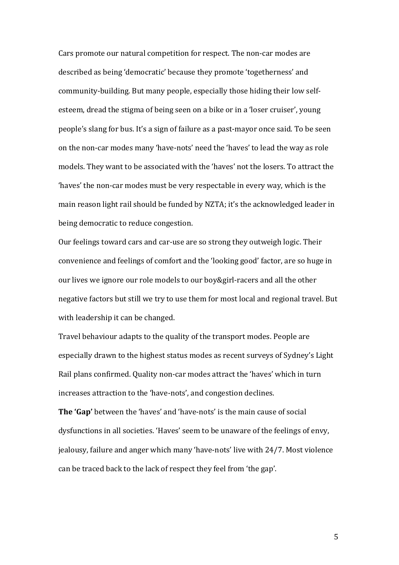Cars promote our natural competition for respect. The non-car modes are described as being 'democratic' because they promote 'togetherness' and community-building. But many people, especially those hiding their low selfesteem, dread the stigma of being seen on a bike or in a 'loser cruiser', young people's slang for bus. It's a sign of failure as a past-mayor once said. To be seen on the non-car modes many 'have-nots' need the 'haves' to lead the way as role models. They want to be associated with the 'haves' not the losers. To attract the 'haves' the non-car modes must be very respectable in every way, which is the main reason light rail should be funded by NZTA; it's the acknowledged leader in being democratic to reduce congestion.

Our feelings toward cars and car-use are so strong they outweigh logic. Their convenience and feelings of comfort and the 'looking good' factor, are so huge in our lives we ignore our role models to our boy&girl-racers and all the other negative factors but still we try to use them for most local and regional travel. But with leadership it can be changed.

Travel behaviour adapts to the quality of the transport modes. People are especially drawn to the highest status modes as recent surveys of Sydney's Light Rail plans confirmed. Quality non-car modes attract the 'haves' which in turn increases attraction to the 'have-nots', and congestion declines.

**The 'Gap'** between the 'haves' and 'have-nots' is the main cause of social dysfunctions in all societies. 'Haves' seem to be unaware of the feelings of envy, jealousy, failure and anger which many 'have-nots' live with 24/7. Most violence can be traced back to the lack of respect they feel from 'the gap'.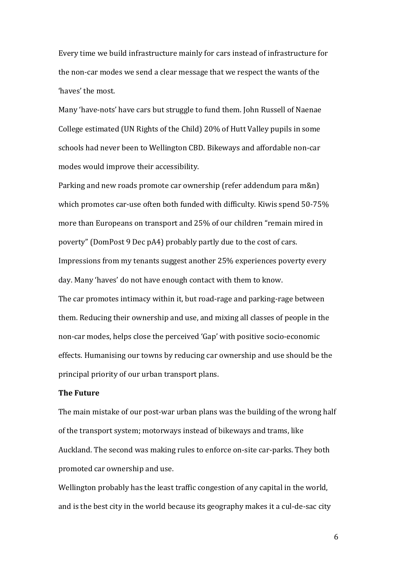Every time we build infrastructure mainly for cars instead of infrastructure for the non-car modes we send a clear message that we respect the wants of the 'haves' the most.

Many 'have-nots' have cars but struggle to fund them. John Russell of Naenae College estimated (UN Rights of the Child) 20% of Hutt Valley pupils in some schools had never been to Wellington CBD. Bikeways and affordable non-car modes would improve their accessibility.

Parking and new roads promote car ownership (refer addendum para m&n) which promotes car-use often both funded with difficulty. Kiwis spend 50-75% more than Europeans on transport and 25% of our children "remain mired in poverty" (DomPost 9 Dec pA4) probably partly due to the cost of cars. Impressions from my tenants suggest another 25% experiences poverty every day. Many 'haves' do not have enough contact with them to know. The car promotes intimacy within it, but road-rage and parking-rage between them. Reducing their ownership and use, and mixing all classes of people in the non-car modes, helps close the perceived 'Gap' with positive socio-economic effects. Humanising our towns by reducing car ownership and use should be the principal priority of our urban transport plans.

### **The Future**

The main mistake of our post-war urban plans was the building of the wrong half of the transport system; motorways instead of bikeways and trams, like Auckland. The second was making rules to enforce on-site car-parks. They both promoted car ownership and use.

Wellington probably has the least traffic congestion of any capital in the world, and is the best city in the world because its geography makes it a cul-de-sac city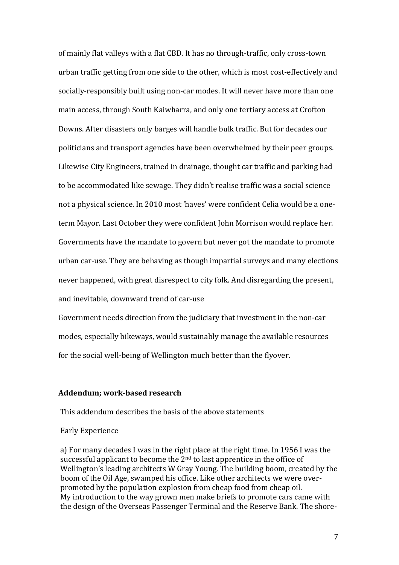of mainly flat valleys with a flat CBD. It has no through-traffic, only cross-town urban traffic getting from one side to the other, which is most cost-effectively and socially-responsibly built using non-car modes. It will never have more than one main access, through South Kaiwharra, and only one tertiary access at Crofton Downs. After disasters only barges will handle bulk traffic. But for decades our politicians and transport agencies have been overwhelmed by their peer groups. Likewise City Engineers, trained in drainage, thought car traffic and parking had to be accommodated like sewage. They didn't realise traffic was a social science not a physical science. In 2010 most 'haves' were confident Celia would be a oneterm Mayor. Last October they were confident John Morrison would replace her. Governments have the mandate to govern but never got the mandate to promote urban car-use. They are behaving as though impartial surveys and many elections never happened, with great disrespect to city folk. And disregarding the present, and inevitable, downward trend of car-use

Government needs direction from the judiciary that investment in the non-car modes, especially bikeways, would sustainably manage the available resources for the social well-being of Wellington much better than the flyover.

### **Addendum; work-based research**

This addendum describes the basis of the above statements

#### Early Experience

a) For many decades I was in the right place at the right time. In 1956 I was the successful applicant to become the 2<sup>nd</sup> to last apprentice in the office of Wellington's leading architects W Gray Young. The building boom, created by the boom of the Oil Age, swamped his office. Like other architects we were overpromoted by the population explosion from cheap food from cheap oil. My introduction to the way grown men make briefs to promote cars came with the design of the Overseas Passenger Terminal and the Reserve Bank. The shore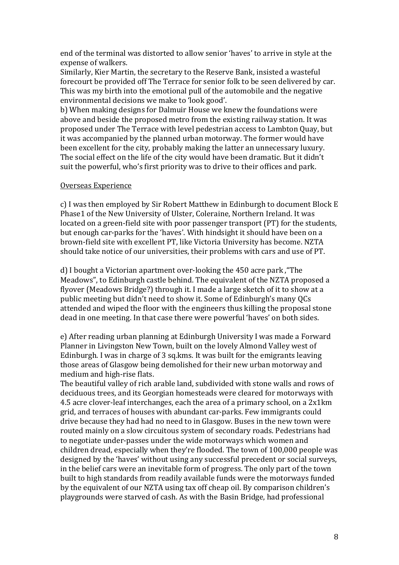end of the terminal was distorted to allow senior 'haves' to arrive in style at the expense of walkers.

Similarly, Kier Martin, the secretary to the Reserve Bank, insisted a wasteful forecourt be provided off The Terrace for senior folk to be seen delivered by car. This was my birth into the emotional pull of the automobile and the negative environmental decisions we make to 'look good'.

b) When making designs for Dalmuir House we knew the foundations were above and beside the proposed metro from the existing railway station. It was proposed under The Terrace with level pedestrian access to Lambton Quay, but it was accompanied by the planned urban motorway. The former would have been excellent for the city, probably making the latter an unnecessary luxury. The social effect on the life of the city would have been dramatic. But it didn't suit the powerful, who's first priority was to drive to their offices and park.

## Overseas Experience

c) I was then employed by Sir Robert Matthew in Edinburgh to document Block E Phase1 of the New University of Ulster, Coleraine, Northern Ireland. It was located on a green-field site with poor passenger transport (PT) for the students, but enough car-parks for the 'haves'. With hindsight it should have been on a brown-field site with excellent PT, like Victoria University has become. NZTA should take notice of our universities, their problems with cars and use of PT.

d) I bought a Victorian apartment over-looking the 450 acre park ,"The Meadows", to Edinburgh castle behind. The equivalent of the NZTA proposed a flyover (Meadows Bridge?) through it. I made a large sketch of it to show at a public meeting but didn't need to show it. Some of Edinburgh's many QCs attended and wiped the floor with the engineers thus killing the proposal stone dead in one meeting. In that case there were powerful 'haves' on both sides.

e) After reading urban planning at Edinburgh University I was made a Forward Planner in Livingston New Town, built on the lovely Almond Valley west of Edinburgh. I was in charge of 3 sq.kms. It was built for the emigrants leaving those areas of Glasgow being demolished for their new urban motorway and medium and high-rise flats.

The beautiful valley of rich arable land, subdivided with stone walls and rows of deciduous trees, and its Georgian homesteads were cleared for motorways with 4.5 acre clover-leaf interchanges, each the area of a primary school, on a 2x1km grid, and terraces of houses with abundant car-parks. Few immigrants could drive because they had had no need to in Glasgow. Buses in the new town were routed mainly on a slow circuitous system of secondary roads. Pedestrians had to negotiate under-passes under the wide motorways which women and children dread, especially when they're flooded. The town of 100,000 people was designed by the 'haves' without using any successful precedent or social surveys, in the belief cars were an inevitable form of progress. The only part of the town built to high standards from readily available funds were the motorways funded by the equivalent of our NZTA using tax off cheap oil. By comparison children's playgrounds were starved of cash. As with the Basin Bridge, had professional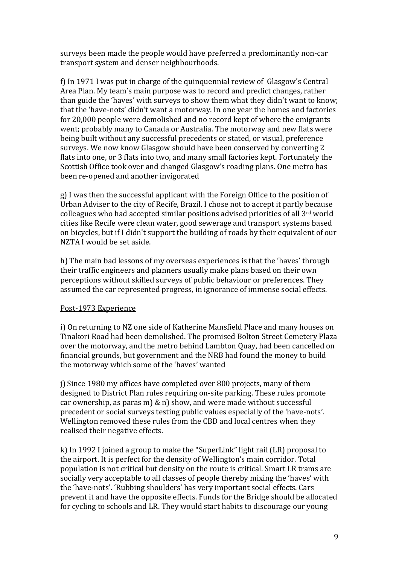surveys been made the people would have preferred a predominantly non-car transport system and denser neighbourhoods.

f) In 1971 I was put in charge of the quinquennial review of Glasgow's Central Area Plan. My team's main purpose was to record and predict changes, rather than guide the 'haves' with surveys to show them what they didn't want to know; that the 'have-nots' didn't want a motorway. In one year the homes and factories for 20,000 people were demolished and no record kept of where the emigrants went; probably many to Canada or Australia. The motorway and new flats were being built without any successful precedents or stated, or visual, preference surveys. We now know Glasgow should have been conserved by converting 2 flats into one, or 3 flats into two, and many small factories kept. Fortunately the Scottish Office took over and changed Glasgow's roading plans. One metro has been re-opened and another invigorated

g) I was then the successful applicant with the Foreign Office to the position of Urban Adviser to the city of Recife, Brazil. I chose not to accept it partly because colleagues who had accepted similar positions advised priorities of all 3rd world cities like Recife were clean water, good sewerage and transport systems based on bicycles, but if I didn't support the building of roads by their equivalent of our NZTA I would be set aside.

h) The main bad lessons of my overseas experiences is that the 'haves' through their traffic engineers and planners usually make plans based on their own perceptions without skilled surveys of public behaviour or preferences. They assumed the car represented progress, in ignorance of immense social effects.

## Post-1973 Experience

i) On returning to NZ one side of Katherine Mansfield Place and many houses on Tinakori Road had been demolished. The promised Bolton Street Cemetery Plaza over the motorway, and the metro behind Lambton Quay, had been cancelled on financial grounds, but government and the NRB had found the money to build the motorway which some of the 'haves' wanted

j) Since 1980 my offices have completed over 800 projects, many of them designed to District Plan rules requiring on-site parking. These rules promote car ownership, as paras m) & n) show, and were made without successful precedent or social surveys testing public values especially of the 'have-nots'. Wellington removed these rules from the CBD and local centres when they realised their negative effects.

k) In 1992 I joined a group to make the "SuperLink" light rail (LR) proposal to the airport. It is perfect for the density of Wellington's main corridor. Total population is not critical but density on the route is critical. Smart LR trams are socially very acceptable to all classes of people thereby mixing the 'haves' with the 'have-nots'. 'Rubbing shoulders' has very important social effects. Cars prevent it and have the opposite effects. Funds for the Bridge should be allocated for cycling to schools and LR. They would start habits to discourage our young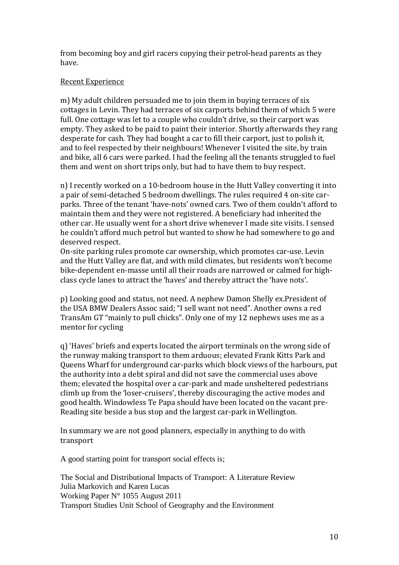from becoming boy and girl racers copying their petrol-head parents as they have.

# Recent Experience

m) My adult children persuaded me to join them in buying terraces of six cottages in Levin. They had terraces of six carports behind them of which 5 were full. One cottage was let to a couple who couldn't drive, so their carport was empty. They asked to be paid to paint their interior. Shortly afterwards they rang desperate for cash. They had bought a car to fill their carport, just to polish it, and to feel respected by their neighbours! Whenever I visited the site, by train and bike, all 6 cars were parked. I had the feeling all the tenants struggled to fuel them and went on short trips only, but had to have them to buy respect.

n) I recently worked on a 10-bedroom house in the Hutt Valley converting it into a pair of semi-detached 5 bedroom dwellings. The rules required 4 on-site carparks. Three of the tenant 'have-nots' owned cars. Two of them couldn't afford to maintain them and they were not registered. A beneficiary had inherited the other car. He usually went for a short drive whenever I made site visits. I sensed he couldn't afford much petrol but wanted to show he had somewhere to go and deserved respect.

On-site parking rules promote car ownership, which promotes car-use. Levin and the Hutt Valley are flat, and with mild climates, but residents won't become bike-dependent en-masse until all their roads are narrowed or calmed for highclass cycle lanes to attract the 'haves' and thereby attract the 'have nots'.

p) Looking good and status, not need. A nephew Damon Shelly ex.President of the USA BMW Dealers Assoc said; "I sell want not need". Another owns a red TransAm GT "mainly to pull chicks". Only one of my 12 nephews uses me as a mentor for cycling

q) 'Haves' briefs and experts located the airport terminals on the wrong side of the runway making transport to them arduous; elevated Frank Kitts Park and Queens Wharf for underground car-parks which block views of the harbours, put the authority into a debt spiral and did not save the commercial uses above them; elevated the hospital over a car-park and made unsheltered pedestrians climb up from the 'loser-cruisers', thereby discouraging the active modes and good health. Windowless Te Papa should have been located on the vacant pre-Reading site beside a bus stop and the largest car-park in Wellington.

In summary we are not good planners, especially in anything to do with transport

A good starting point for transport social effects is;

The Social and Distributional Impacts of Transport: A Literature Review Julia Markovich and Karen Lucas Working Paper N° 1055 August 2011 Transport Studies Unit School of Geography and the Environment